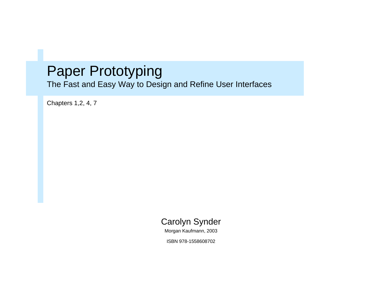#### Paper Prototyping

The Fast and Easy Way to Design and Refine User Interfaces

Chapters 1,2, 4, 7



Morgan Kaufmann, 2003

ISBN 978-1558608702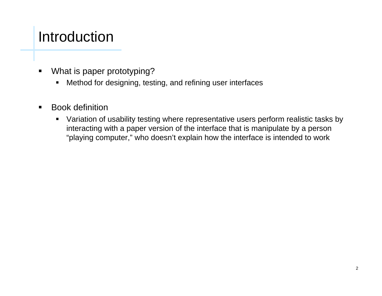### Introduction

- $\blacksquare$  What is paper prototyping?
	- $\blacksquare$ Method for designing, testing, and refining user interfaces
- $\blacksquare$  Book definition
	- Variation of usability testing where representative users perform realistic tasks by interacting with a paper version of the interface that is manipulate by a person "playing computer," who doesn't explain how the interface is intended to work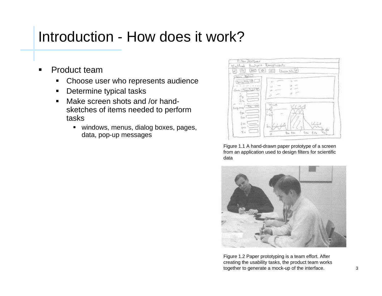- $\blacksquare$  Product team
	- $\blacksquare$ Choose user who represents audience
	- $\blacksquare$ Determine typical tasks
	- $\blacksquare$  Make screen shots and /or handsketches of items needed to perform tasks
		- windows, menus, dialog boxes, pages, data, pop-up messages



Figure 1.1 A hand-drawn paper prototype of a screen from an application used to design filters for scientific data



Figure 1.2 Paper prototyping is a team effort. After creating the usability tasks, the product team works together to generate a mock-up of the interface.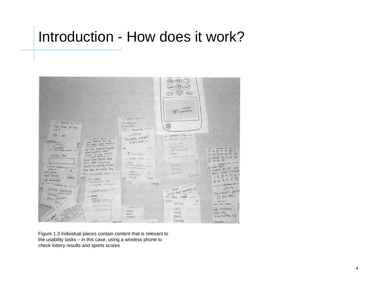

Figure 1.3 Individual pieces contain content that is relevant to the usability tasks – in this case, using a wireless phone to check lottery results and sports scores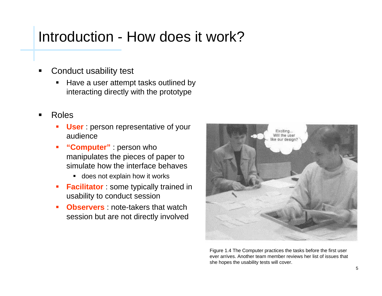- Conduct usability test
	- Have a user attempt tasks outlined by interacting directly with the prototype
- Roles
	- **User** : person representative of your audience
	- ш **"Computer"** : person who manipulates the pieces of paper to simulate how the interface behaves
		- **does not explain how it works**
	- $\blacksquare$ **Facilitator**: some typically trained in usability to conduct session
	- ш **Dbservers** note-takers that watch session but are not directly involved



Figure 1.4 The Computer practices the tasks before the first user ever arrives. Another team member reviews her list of issues that she hopes the usability tests will cover.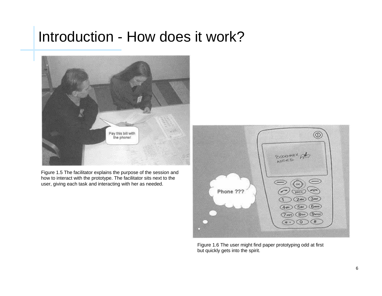

Figure 1.5 The facilitator explains the purpose of the session and how to interact with the prototype. The facilitator sits next to the user, giving each task and interacting with her as needed.



Figure 1.6 The user might find paper prototyping odd at first but quickly gets into the spirit.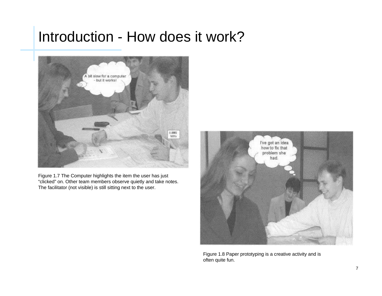

Figure 1.7 The Computer highlights the item the user has just "clicked" on. Other team members observe quietly and take notes. The facilitator (not visible) is still sitting next to the user.



Figure 1.8 Paper prototyping is a creative activity and is often quite fun.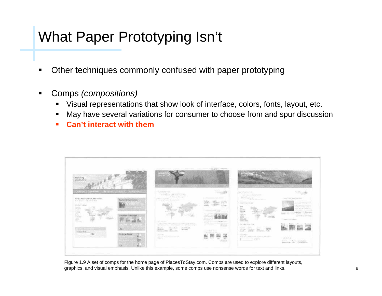#### What Paper Prototyping Isn't

- Other techniques commonly confused with paper prototyping
- Comps *(compositions)*
	- П Visual representations that show look of interface, colors, fonts, layout, etc.
	- П May have several variations for consumer to choose from and spur discussion
	- ш **Can't interact with them**



Figure 1.9 A set of comps for the home page of PlacesToStay.com. Comps are used to explore different layouts, graphics, and visual emphasis. Unlike this example, some comps use nonsense words for text and links.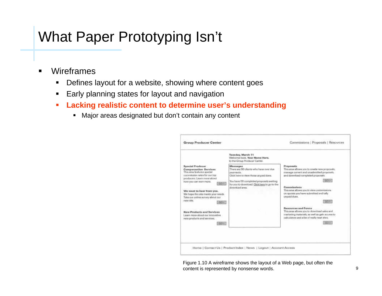#### What Paper Prototyping Isn't

- $\blacksquare$  Wireframes
	- п Defines layout for a website, showing where content goes
	- $\blacksquare$ Early planning states for layout and navigation
	- $\blacksquare$  **Lacking realistic content to determine user's understanding**
		- Major areas designated but don't contain any content



Figure 1.10 A wireframe shows the layout of a Web page, but often the content is represented by nonsense words.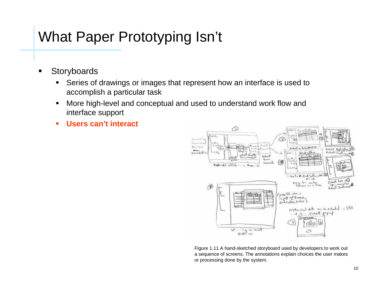#### What Paper Prototyping Isn't

- $\blacksquare$ **Storyboards** 
	- $\blacksquare$  Series of drawings or images that represent how an interface is used to accomplish a particular task
	- $\blacksquare$  More high-level and conceptual and used to understand work flow and interface support
	- **C Users can't interact**



Figure 1.11 A hand-sketched storyboard used by developers to work out a sequence of screens. The annotations explain choices the user makes or processing done by the system.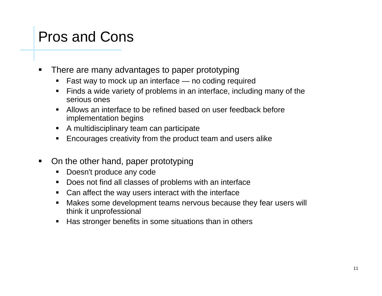#### Pros and Cons

- $\blacksquare$  There are many advantages to paper prototyping
	- П Fast way to mock up an interface — no coding required
	- Finds a wide variety of problems in an interface, including many of the serious ones
	- Allows an interface to be refined based on user feedback before implementation begins
	- A multidisciplinary team can participate
	- **Encourages creativity from the product team and users alike**
- $\blacksquare$  On the other hand, paper prototyping
	- Doesn't produce any code
	- Does not find all classes of problems with an interface
	- **Can affect the way users interact with the interface**
	- Makes some development teams nervous because they fear users will think it unprofessional
	- Ш Has stronger benefits in some situations than in others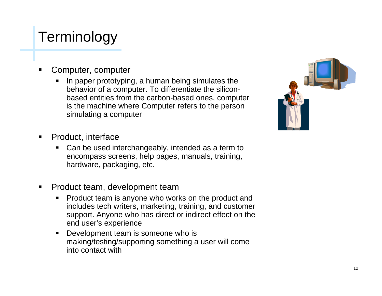## **Terminology**

- Computer, computer
	- П In paper prototyping, a human being simulates the behavior of a computer. To differentiate the siliconbased entities from the carbon-based ones, computer is the machine where Computer refers to the person simulating a computer



- $\blacksquare$  Product, interface
	- Ш Can be used interchangeably, intended as a term to encompass screens, help pages, manuals, training, hardware, packaging, etc.
- $\blacksquare$  Product team, development team
	- П Product team is anyone who works on the product and includes tech writers, marketing, training, and customer support. Anyone who has direct or indirect effect on the end user's experience
	- Development team is someone who is making/testing/supporting something a user will come into contact with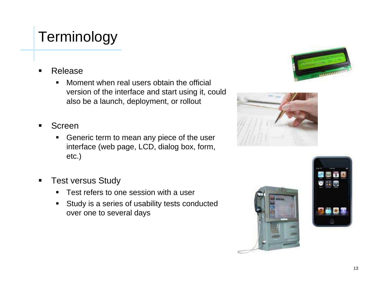## **Terminology**

- Release
	- $\blacksquare$  Moment when real users obtain the official version of the interface and start using it, could also be a launch, deployment, or rollout
- Screen
	- Generic term to mean any piece of the user interface (web page, LCD, dialog box, form, etc.)
- $\blacksquare$  Test versus Study
	- $\blacksquare$ Test refers to one session with a user
	- $\blacksquare$  Study is a series of usability tests conducted over one to several days







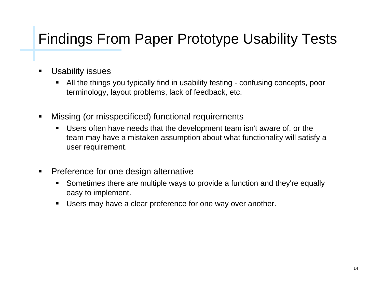## Findings From Paper Prototype Usability Tests

- $\blacksquare$  Usability issues
	- All the things you typically find in usability testing - confusing concepts, poor terminology, layout problems, lack of feedback, etc.
- $\blacksquare$  Missing (or misspecificed) functional requirements
	- Ш Users often have needs that the development team isn't aware of, or the team may have a mistaken assumption about what functionality will satisfy a user requirement.
- п Preference for one design alternative
	- Ш Sometimes there are multiple ways to provide a function and they're equally easy to implement.
	- Ш Users may have a clear preference for one way over another.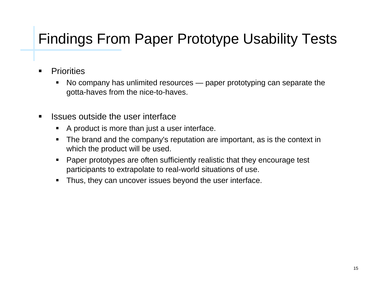## Findings From Paper Prototype Usability Tests

- $\blacksquare$ **Priorities** 
	- No company has unlimited resources — paper prototyping can separate the gotta-haves from the nice-to-haves.
- $\blacksquare$  Issues outside the user interface
	- Ш A product is more than just a user interface.
	- The brand and the company's reputation are important, as is the context in which the product will be used.
	- П Paper prototypes are often sufficiently realistic that they encourage test participants to extrapolate to real-world situations of use.
	- $\blacksquare$ Thus, they can uncover issues beyond the user interface.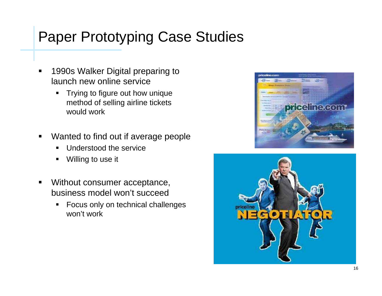- $\blacksquare$  1990s Walker Digital preparing to launch new online service
	- $\blacksquare$  Trying to figure out how unique method of selling airline tickets would work
- $\blacksquare$  Wanted to find out if average people
	- Ш Understood the service
	- П Willing to use it
- $\blacksquare$  Without consumer acceptance, business model won't succeed
	- $\blacksquare$  Focus only on technical challenges won't work



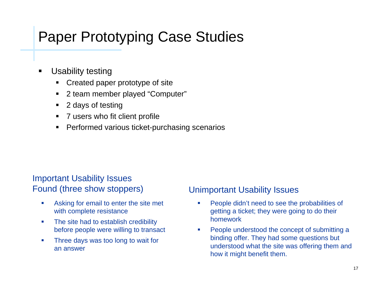- $\blacksquare$  Usability testing
	- Created paper prototype of site
	- $\blacksquare$ 2 team member played "Computer"
	- $\blacksquare$ 2 days of testing
	- 7 users who fit client profile
	- Ш Performed various ticket-purchasing scenarios

# Important Usability Issues

- $\overline{\phantom{a}}$  Asking for email to enter the site met with complete resistance
- $\overline{\phantom{a}}$  The site had to establish credibility before people were willing to transact
- $\mathcal{C}$  Three days was too long to wait for an answer

#### Found (three show stoppers) Unimportant Usability Issues

- $\overline{\phantom{a}}$  People didn't need to see the probabilities of getting a ticket; they were going to do their homework
- П People understood the concept of submitting a binding offer. They had some questions but understood what the site was offering them and how it might benefit them.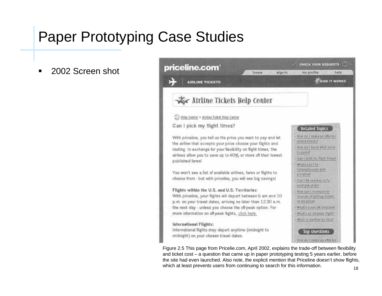■ 2002 Screen shot

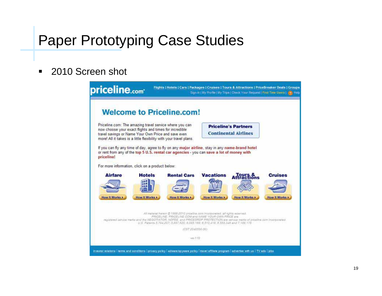#### $\blacksquare$ 2010 Screen shot

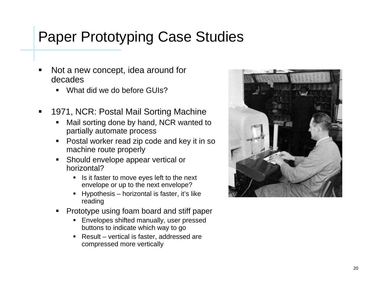- Not a new concept, idea around for decades
	- What did we do before GUIs?
- $\blacksquare$  1971, NCR: Postal Mail Sorting Machine
	- П Mail sorting done by hand, NCR wanted to partially automate process
	- Postal worker read zip code and key it in so machine route properly
	- П Should envelope appear vertical or horizontal?
		- Is it faster to move eyes left to the next envelope or up to the next envelope?
		- Hypothesis horizontal is faster, it's like reading
	- Ш Prototype using foam board and stiff paper
		- **Envelopes shifted manually, user pressed** buttons to indicate which way to go
		- Result vertical is faster, addressed are compressed more vertically

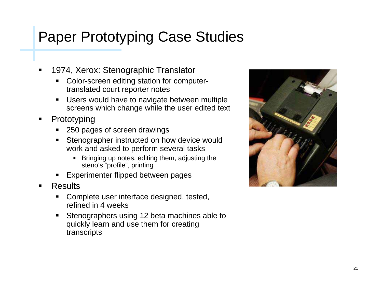- 1974, Xerox: Stenographic Translator
	- п Color-screen editing station for computertranslated court reporter notes
	- П Users would have to navigate between multiple screens which change while the user edited text
- п Prototyping
	- 250 pages of screen drawings
	- Ш Stenographer instructed on how device would work and asked to perform several tasks
		- Bringing up notes, editing them, adjusting the steno's "profile", printing
	- П Experimenter flipped between pages
- Results
	- **Complete user interface designed, tested,** refined in 4 weeks
	- **Stenographers using 12 beta machines able to** quickly learn and use them for creating transcripts

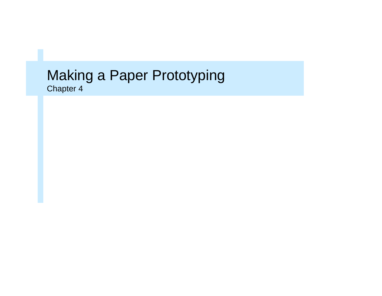#### Making a Paper Prototyping Chapter 4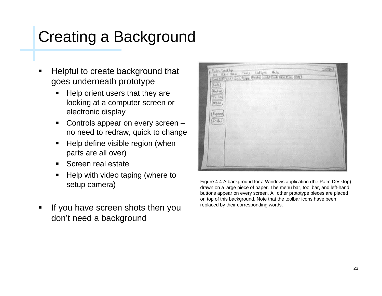# Creating a Background

- Helpful to create background that goes underneath prototype
	- Ш Help orient users that they are looking at a computer screen or electronic display
	- Controls appear on every screen – no need to redraw, quick to change
	- Help define visible region (when parts are all over)
	- Screen real estate
	- Ш Help with video taping (where to setup camera)
- If you have screen shots then you don't need a background



Figure 4.4 A background for a Windows application (the Palm Desktop) drawn on a large piece of paper. The menu bar, tool bar, and left-hand buttons appear on every screen. All other prototype pieces are placed on top of this background. Note that the toolbar icons have been replaced by their corresponding words.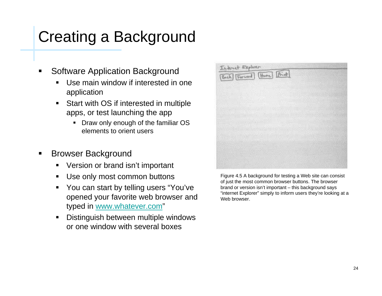# Creating a Background

- Software Application Background
	- Use main window if interested in one application
	- Start with OS if interested in multiple apps, or test launching the app
		- Draw only enough of the familiar OS elements to orient users
- $\blacksquare$  Browser Background
	- Version or brand isn't important
	- п Use only most common buttons
	- Ш You can start by telling users "You've opened your favorite web browser and typed in www.whatever.com"
	- Distinguish between multiple windows or one window with several boxes



Figure 4.5 A background for testing a Web site can consist of just the most common browser buttons. The browser brand or version isn't important – this background says "internet Explorer" simply to inform users they're looking at a Web browser.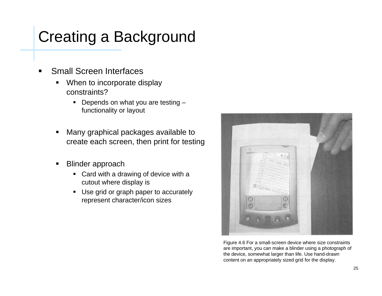# Creating a Background

- Small Screen Interfaces
	- П When to incorporate display constraints?
		- Depends on what you are testing functionality or layout
	- Many graphical packages available to create each screen, then print for testing
	- Ш Blinder approach
		- Card with a drawing of device with a cutout where display is
		- Use grid or graph paper to accurately represent character/icon sizes



Figure 4.6 For a small-screen device where size constraints are important, you can make a blinder using a photograph of the device, somewhat larger than life. Use hand-drawn content on an appropriately sized grid for the display.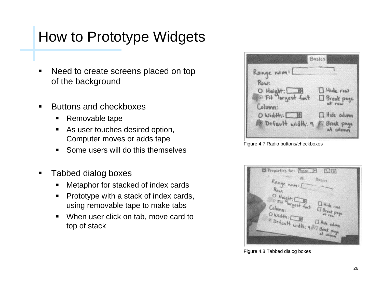- $\blacksquare$  Need to create screens placed on top of the background
- $\blacksquare$  Buttons and checkboxes
	- Removable tape
	- $\blacksquare$  As user touches desired option, Computer moves or adds tape
	- Some users will do this themselves
- $\blacksquare$  Tabbed dialog boxes
	- П Metaphor for stacked of index cards
	- $\blacksquare$  Prototype with a stack of index cards, using removable tape to make tabs
	- $\blacksquare$  When user click on tab, move card to top of stack

| Kange nom!                        |                      |
|-----------------------------------|----------------------|
| Row:                              |                      |
|                                   | Hide row             |
| O Height: UB<br>@ Fif largest fmt | Break page           |
| Column:                           | at rew               |
| O Width: E 图                      | <b>I Hide</b> column |
| Default width: 9 2 Break page     |                      |
|                                   | at colomn            |

Figure 4.7 Radio buttons/checkboxes

| El Properties for: [Russe [V] [2] [2]                               |
|---------------------------------------------------------------------|
| <b>CONTECT</b><br>Basics                                            |
| Range nomil<br>$R_{\text{NN}}$                                      |
|                                                                     |
| O Height: Bill<br>Et diargest fact<br><b>IT Hide</b> row<br>Column: |
| I Break page<br>O Width: LB                                         |
| Default width: 985 Break page<br><b>Il Hide</b> cahinn              |
|                                                                     |
|                                                                     |

Figure 4.8 Tabbed dialog boxes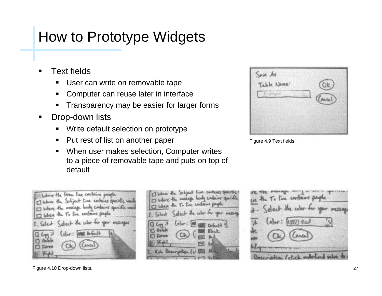- Text fields
	- п User can write on removable tape
	- $\blacksquare$ Computer can reuse later in interface
	- $\blacksquare$ Transparency may be easier for larger forms
- $\blacksquare$  Drop-down lists
	- Write default selection on prototype
	- Put rest of list on another paper
	- $\blacksquare$  When user makes selection, Computer writes to a piece of removable tape and puts on top of default



Figure 4.9 Text fields.







Figure 4.10 Drop-down lists.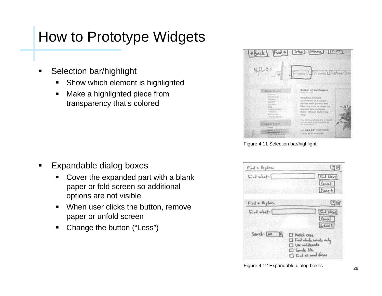- п Selection bar/highlight
	- Show which element is highlighted
	- п Make a highlighted piece from transparency that's colored

- п Expandable dialog boxes
	- $\blacksquare$  Cover the expanded part with a blank paper or fold screen so additional options are not visible
	- $\blacksquare$  When user clicks the button, remove paper or unfold screen
	- $\blacksquare$ Change the button ("Less")

|                                                                                                 | EBack [Fund-b] [sep] [Home] [[river]                                                                                                                                                           |
|-------------------------------------------------------------------------------------------------|------------------------------------------------------------------------------------------------------------------------------------------------------------------------------------------------|
| World Est<br><b>IA</b>                                                                          | WHITE A LOSHON 2                                                                                                                                                                               |
|                                                                                                 |                                                                                                                                                                                                |
| "Sout to December                                                                               | <b>Rasket of Sunfinance</b><br>many of AXIE 1                                                                                                                                                  |
| <b>ROAD ATLANTAS</b><br>THE R. F. FOOD AVE A<br><b>CARDON ROLL</b><br><b>Education</b><br>ついいいい | Braid Kill, Smilard<br><b>NUMBER IN A WEEK!</b><br>Drivingd with growing and<br>Pillyr Are, Gone ba-Jihaan Val<br>auto-dahat surtuz descuisions.<br>tham? Becket stude mule<br><b>Milkfall</b> |
| <b>SALES( BARAIN </b> )                                                                         | This cold is wishing only strategy<br>wing claim about To: Sinch man spoke for the<br><b>Bibliother Renau</b>                                                                                  |
| Due & Old Backets                                                                               | 150.549.95" (debutred)<br>V paciti p WA HS sprinting that                                                                                                                                      |

Figure 4.11 Selection bar/highlight.

| $F_{rad} + k_{e}$ place                             | UG                                                                                                                                 |
|-----------------------------------------------------|------------------------------------------------------------------------------------------------------------------------------------|
| $F_{i}, J$ what:<br><b>AND A REPORT OF A REPORT</b> | $FJ$ Next<br>Cancel<br>Mare 4                                                                                                      |
| Find & Replace                                      | $C_1$ tej                                                                                                                          |
| Find what:                                          | Find Next<br>Concell<br>$L$ ess ?                                                                                                  |
| $Saseel: [AB \t   b]$                               | <b>I Modeln</b> case<br>$\Box$ Find who be wonder only<br>I Use wildcards<br>$\Box$ Sample $L$ les<br><b>I Find all were forma</b> |

Figure 4.12 Expandable dialog boxes.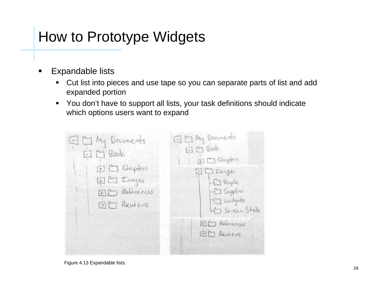- $\blacksquare$  Expandable lists
	- $\blacksquare$  Cut list into pieces and use tape so you can separate parts of list and add expanded portion
	- You don't have to support all lists, your task definitions should indicate which options users want to expand

| E C My Documents<br>$F \nightharpoonup$ Book<br>$\Box$ Chepters<br>国口 Images<br>ED References<br>ED Reviews | E C My Documents<br>日口Book<br>FI Chapters<br>$EDD$ crages<br>-17 People<br>$\left  \begin{array}{c} \begin{array}{c} -\square \end{array}$ Supplies<br>  In Widgets<br>Hit Seren Shets |
|-------------------------------------------------------------------------------------------------------------|----------------------------------------------------------------------------------------------------------------------------------------------------------------------------------------|
|                                                                                                             | <b>ED</b> References<br>BD Reviews                                                                                                                                                     |

Figure 4.13 Expandable lists.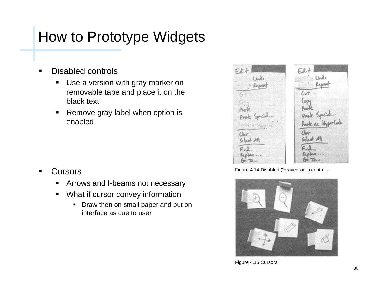- $\blacksquare$  Disabled controls
	- $\blacksquare$  Use a version with gray marker on removable tape and place it on the black text
	- $\blacksquare$  Remove gray label when option is enabled

- п **Cursors** 
	- П Arrows and I-beams not necessary
	- $\blacksquare$  What if cursor convey information
		- Draw then on small paper and put on interface as cue to user



Figure 4.14 Disabled ("grayed-out") controls.



Figure 4.15 Cursors.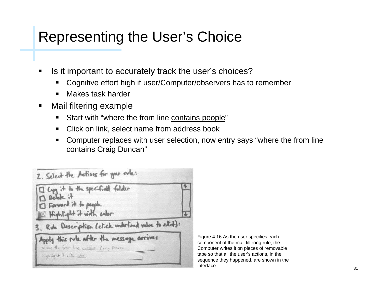#### Representing the User's Choice

- п Is it important to accurately track the user's choices?
	- Cognitive effort high if user/Computer/observers has to remember
	- Ш Makes task harder
- $\blacksquare$  Mail filtering example
	- $\blacksquare$ Start with "where the from line contains people"
	- ш Click on link, select name from address book
	- Computer replaces with user selection, now entry says "where the from line contains Craig Duncan"



Figure 4.16 As the user specifies each component of the mail filtering rule, the Computer writes it on pieces of removable tape so that all the user's actions, in the sequence they happened, are shown in the interface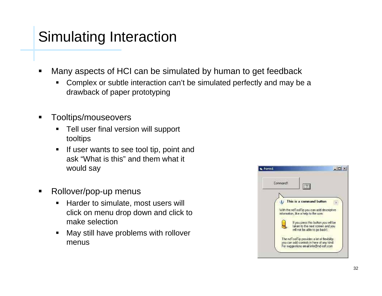## Simulating Interaction

- п Many aspects of HCI can be simulated by human to get feedback
	- Complex or subtle interaction can't be simulated perfectly and may be a drawback of paper prototyping
- $\blacksquare$  Tooltips/mouseovers
	- $\blacksquare$  Tell user final version will support tooltips
	- $\blacksquare$  If user wants to see tool tip, point and ask "What is this" and them what it would say
- $\blacksquare$  Rollover/pop-up menus
	- П Harder to simulate, most users will click on menu drop down and click to make selection
	- Ш May still have problems with rollover menus

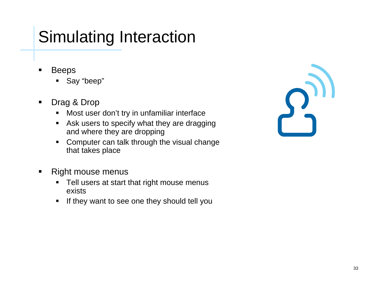# Simulating Interaction

- Beeps
	- Say "beep"
- $\blacksquare$  Drag & Drop
	- $\blacksquare$ Most user don't try in unfamiliar interface
	- **Ask users to specify what they are dragging** and where they are dropping
	- **Computer can talk through the visual change** that takes place
- $\blacksquare$  Right mouse menus
	- Tell users at start that right mouse menus exists
	- $\blacksquare$ If they want to see one they should tell you

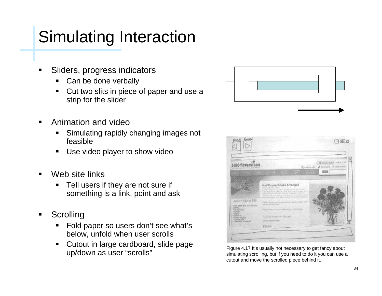# Simulating Interaction

- Sliders, progress indicators
	- П Can be done verbally
	- Cut two slits in piece of paper and use a strip for the slider
- $\blacksquare$  Animation and video
	- $\blacksquare$  Simulating rapidly changing images not feasible
	- П Use video player to show video
- $\blacksquare$  Web site links
	- $\blacksquare$  Tell users if they are not sure if something is a link, point and ask
- **Scrolling** 
	- Ш Fold paper so users don't see what's below, unfold when user scrolls
	- $\blacksquare$  Cutout in large cardboard, slide page Up/down as user "scrolls" Figure 4.17 It's usually not necessary to get fancy about up/down as user "scrolls" simulating scrolling, but if you need to do it you can use a





cutout and move the scrolled piece behind it.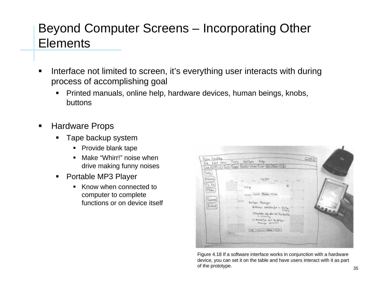- $\blacksquare$  Interface not limited to screen, it's everything user interacts with during process of accomplishing goal
	- Ш Printed manuals, online help, hardware devices, human beings, knobs, buttons
- $\blacksquare$  Hardware Props
	- Tape backup system
		- $\blacksquare$ Provide blank tape
		- $\blacksquare$  Make "Whirr!" noise when drive making funny noises
	- $\blacksquare$  Portable MP3 Player
		- Know when connected to computer to complete functions or on device itself



Figure 4.18 If a software interface works in conjunction with a hardware device, you can set it on the table and have users interact with it as part of the prototype.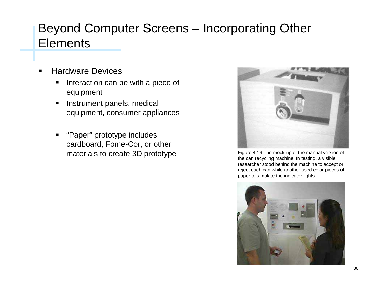- $\blacksquare$  Hardware Devices
	- $\blacksquare$  Interaction can be with a piece of equipment
	- $\blacksquare$  Instrument panels, medical equipment, consumer appliances
	- Ш "Paper" prototype includes cardboard, Fome-Cor, or other



materials to create 3D prototype Figure 4.19 The mock-up of the manual version of the manual version of the can recycling machine. In testing, a visible researcher stood behind the machine to accept or reject each can while another used color pieces of paper to simulate the indicator lights.

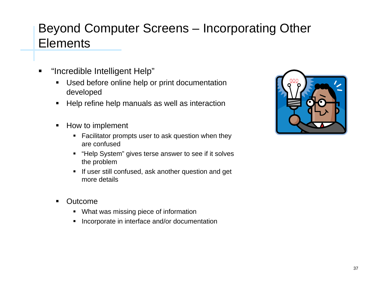- п "Incredible Intelligent Help"
	- $\blacksquare$  Used before online help or print documentation developed
	- Help refine help manuals as well as interaction
	- $\blacksquare$  How to implement
		- Facilitator prompts user to ask question when they are confused
		- "Help System" gives terse answer to see if it solves the problem
		- **If user still confused, ask another question and get** more details
	- $\blacksquare$  Outcome
		- What was missing piece of information
		- $\blacksquare$ Incorporate in interface and/or documentation

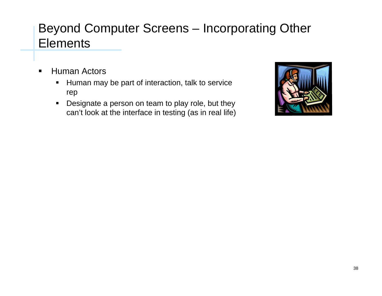- $\blacksquare$  Human Actors
	- Human may be part of interaction, talk to service rep
	- $\blacksquare$  Designate a person on team to play role, but they can't look at the interface in testing (as in real life)

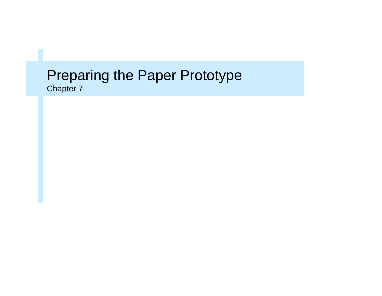# Preparing the Paper Prototype

Chapter 7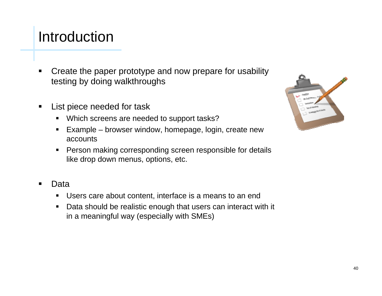#### Introduction

- п Create the paper prototype and now prepare for usability testing by doing walkthroughs
- $\blacksquare$  List piece needed for task
	- Which screens are needed to support tasks?
	- $\blacksquare$  Example – browser window, homepage, login, create new accounts
	- Person making corresponding screen responsible for details like drop down menus, options, etc.
- Data
	- Users care about content, interface is a means to an end
	- $\blacksquare$  Data should be realistic enough that users can interact with it in a meaningful way (especially with SMEs)

| nality<br>Michigan<br>تمه<br>œ |                               |  |
|--------------------------------|-------------------------------|--|
|                                | <b>Artistics</b><br>United Mt |  |
|                                |                               |  |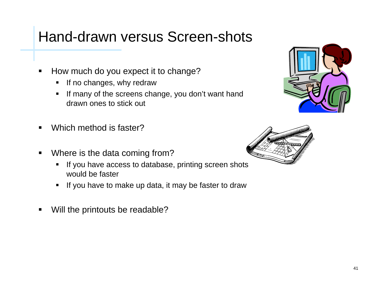#### Hand-drawn versus Screen-shots

- $\blacksquare$  How much do you expect it to change?
	- If no changes, why redraw
	- $\blacksquare$  If many of the screens change, you don't want hand drawn ones to stick out
- $\blacksquare$ Which method is faster?
- $\blacksquare$  Where is the data coming from?
	- $\blacksquare$  If you have access to database, printing screen shots would be faster
	- If you have to make up data, it may be faster to draw
- $\blacksquare$ Will the printouts be readable?



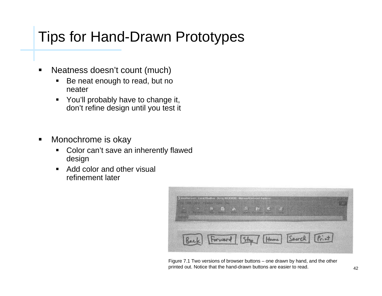## Tips for Hand-Drawn Prototypes

- $\blacksquare$  Neatness doesn't count (much)
	- $\blacksquare$  Be neat enough to read, but no neater
	- $\blacksquare$  You'll probably have to change it, don't refine design until you test it
- $\blacksquare$  Monochrome is okay
	- $\blacksquare$  Color can't save an inherently flawed design
	- $\blacksquare$  Add color and other visual refinement later



Figure 7.1 Two versions of browser buttons – one drawn by hand, and the other printed out. Notice that the hand-drawn buttons are easier to read.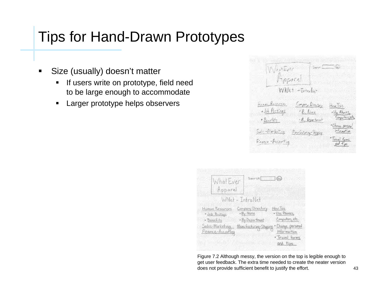#### Tips for Hand-Drawn Prototypes

- $\blacksquare$  Size (usually) doesn't matter
	- $\blacksquare$  If users write on prototype, field need to be large enough to accommodate
	- $\blacksquare$ Larger prototype helps observers

| WestErer                               | tare <u>(CC</u> T)                                                                                       |  |
|----------------------------------------|----------------------------------------------------------------------------------------------------------|--|
| Fippore<br>$WNk+ -\tau_{k+rs} _{n}$    |                                                                                                          |  |
| head Recogney                          | Compliance<br>$H_{\text{DM}}$ Tos                                                                        |  |
| <u>. Jik Pietings</u><br>$\frac{1}{2}$ | $E_{\rm x}$ lines<br>· Va Planty<br>Corporate<br>- R. Gepartosot                                         |  |
| Solar-Pinepitco<br>Prostor Mare        | · Chance person<br>irtu notien.                                                                          |  |
| Finance-Paccourting                    | $\frac{\sum_{\ell \in \mathcal{M}} f_{\ell \ell} = 1}{\sum_{\ell \in \mathcal{M}} f_{\ell \ell}^{\ell}}$ |  |

| What Ever<br>Apparel                                                                    | $Searan$ $(a)$                                                               |                                                                                                               |
|-----------------------------------------------------------------------------------------|------------------------------------------------------------------------------|---------------------------------------------------------------------------------------------------------------|
|                                                                                         | WNet - IntraNet                                                              |                                                                                                               |
| Human Resources<br>· Job Roshings<br>· Benefits<br>Sales-Marketing<br>Finance-Accouting | Company Directory<br>· By Name<br>· By Deplartment<br>Manufacturing-Stupping | How Tos<br>· Use Phones,<br>Computers, etc.<br>· Change personal<br>information<br>· Travel forms<br>and tips |

Figure 7.2 Although messy, the version on the top is legible enough to get user feedback. The extra time needed to create the neater version does not provide sufficient benefit to justify the effort.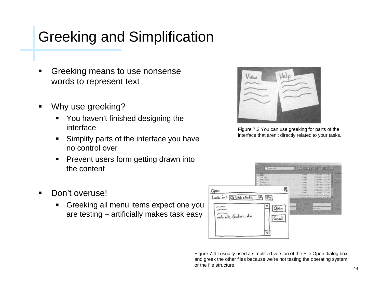## Greeking and Simplification

- Greeking means to use nonsense words to represent text
- $\blacksquare$  Why use greeking?
	- **Theory 11 You haven't finished designing the** interface
	- П Simplify parts of the interface you have no control over
	- п Prevent users form getting drawn into the content

Figure 7.3 You can use greeking for parts of the interface that aren't directly related to your tasks.

- $\blacksquare$  Don't overuse!
	- Greeking all menu items expect one you are testing – artificially makes task easy



Figure 7.4 I usually used a simplified version of the File Open dialog box and greek the other files because we're not testing the operating system or the file structure.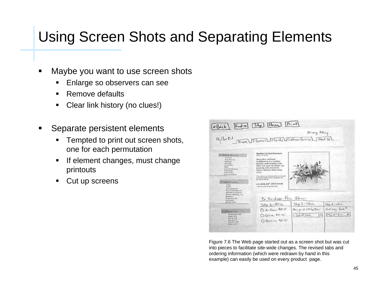## Using Screen Shots and Separating Elements

- п Maybe you want to use screen shots
	- Enlarge so observers can see
	- $\blacksquare$ Remove defaults
	- П Clear link history (no clues!)
- Separate persistent elements
	- Tempted to print out screen shots, one for each permutation
	- If element changes, must change printouts
	- $\blacksquare$ Cut up screens

|                                                                                | Eback Find a [Step [Home] [Print]                                               | Privacy Policy        |                  |  |
|--------------------------------------------------------------------------------|---------------------------------------------------------------------------------|-----------------------|------------------|--|
|                                                                                | My florest Harry Flowers Plants Westmer Service About Us                        |                       |                  |  |
|                                                                                | <b>Basket of Sunflowers</b>                                                     |                       |                  |  |
| <b>Click by Grondine</b><br><b>Guineration</b><br><b><i>Music Pripular</i></b> | 1000-17 5170<br><b>Beautiful, brilliant</b>                                     |                       |                  |  |
| <b><i><u>Purchase</u></i></b><br><b>Catchman</b><br>Sumpatrix.                 | sunflowers in a wither<br>basket with areens and<br>filler are sure to cheer up |                       |                  |  |
| <b>Delty</b><br>LIVY & Kiman's<br>Triendutia.                                  | anyone who receives<br>Usern! Daskut style may                                  |                       |                  |  |
| <b>Ahhhumsan</b><br>Electric schullecipure.                                    | varu.<br>This same is promotorally allocated                                    |                       |                  |  |
|                                                                                | and agreemed to the receiving by<br>aur focut homes.                            |                       |                  |  |
| <b>Eliza by Frederic</b><br><b>ROMAN</b><br><b>Plands</b>                      | upp \$49.95' (delivered)<br><sup>2</sup> plus a 14.53 territor fee.             |                       |                  |  |
| <b>Artsrdenunzs</b><br><b>FINAL &amp; CATE BASELETA</b><br>Onings & Trepears   |                                                                                 |                       |                  |  |
| Bernel, Barneou, Iriz.<br><b>Balgaine</b> :<br>Phoble Artistants<br>Corporate. | To Rechase this Ikni                                                            |                       |                  |  |
| Novelty Gots                                                                   | $S_{\text{H}q}$ 1-Price                                                         | $54.62 - 66.66$       | Sko $s$ - where  |  |
|                                                                                |                                                                                 | Pacific de Stale/Pros | $D$ dary $D - k$ |  |
|                                                                                | O to those the as                                                               |                       |                  |  |
| <b>Shop by Fritz</b><br>Special Savings!<br><b>Limiter \$25</b><br>825 hr 930  | O Delive for as                                                                 | Scholzen              | $M_{4}10-Sm$ 16  |  |

Figure 7.6 The Web page started out as a screen shot but was cut into pieces to facilitate site-wide changes. The revised tabs and ordering information (which were redrawn by hand in this example) can easily be used on every product page.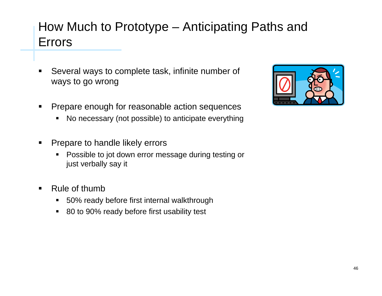#### How Much to Prototype – Anticipating Paths and Errors

- Several ways to complete task, infinite number of ways to go wrong
- $\blacksquare$  Prepare enough for reasonable action sequences
	- П No necessary (not possible) to anticipate everything
- $\blacksquare$  Prepare to handle likely errors
	- Ш Possible to jot down error message during testing or just verbally say it
- $\blacksquare$  Rule of thumb
	- $\blacksquare$ 50% ready before first internal walkthrough
	- 80 to 90% ready before first usability test

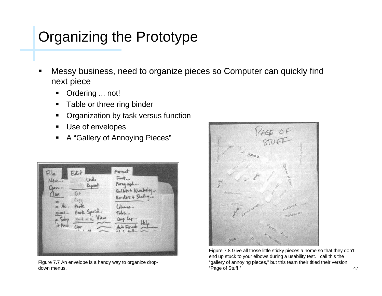#### Organizing the Prototype

- $\blacksquare$  Messy business, need to organize pieces so Computer can quickly find next piece
	- Π Ordering ... not!
	- п Table or three ring binder
	- $\blacksquare$ Organization by task versus function
	- $\blacksquare$ Use of envelopes
	- $\blacksquare$ A "Gallery of Annoying Pieces"



Figure 7.7 An envelope is a handy way to organize dropdown menus.



Figure 7.8 Give all those little sticky pieces a home so that they don't end up stuck to your elbows during a usability test. I call this the "gallery of annoying pieces," but this team their titled their version "Page of Stuff."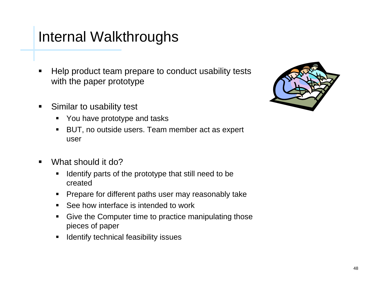#### Internal Walkthroughs

- Help product team prepare to conduct usability tests with the paper prototype
- $\blacksquare$  Similar to usability test
	- You have prototype and tasks
	- $\blacksquare$  BUT, no outside users. Team member act as expert user
- $\blacksquare$  What should it do?
	- Identify parts of the prototype that still need to be created
	- Prepare for different paths user may reasonably take
	- See how interface is intended to work
	- $\blacksquare$  Give the Computer time to practice manipulating those pieces of paper
	- П Identify technical feasibility issues

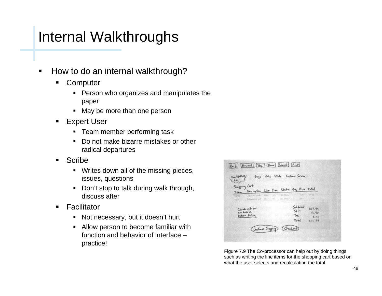### Internal Walkthroughs

- $\blacksquare$  How to do an internal walkthrough?
	- п **Computer** 
		- Person who organizes and manipulates the paper
		- May be more than one person
	- Expert User
		- Team member performing task
		- $\blacksquare$  Do not make bizarre mistakes or other radical departures
	- П Scribe
		- Writes down all of the missing pieces, issues, questions
		- Don't stop to talk during walk through, discuss after
	- Ш **Facilitator** 
		- $\blacksquare$ Not necessary, but it doesn't hurt
		- п Allow person to become familiar with function and behavior of interface –practice!



Figure 7.9 The Co-processor can help out by doing things such as writing the line items for the shopping cart based on what the user selects and recalculating the total.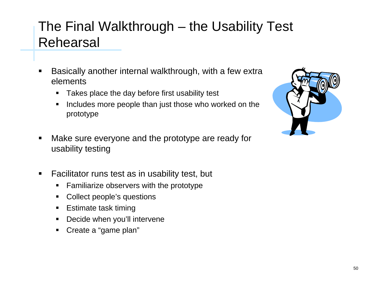#### The Final Walkthrough – the Usability Test Rehearsal

- Basically another internal walkthrough, with a few extra elements
	- $\blacksquare$ Takes place the day before first usability test
	- П Includes more people than just those who worked on the prototype



- $\blacksquare$  Make sure everyone and the prototype are ready for usability testing
- $\blacksquare$  Facilitator runs test as in usability test, but
	- $\blacksquare$ Familiarize observers with the prototype
	- ш Collect people's questions
	- Estimate task timing
	- П Decide when you'll intervene
	- Create a "game plan"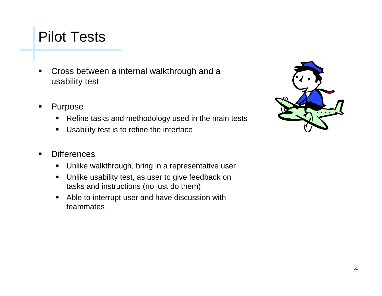#### Pilot Tests

- $\blacksquare$  Cross between a internal walkthrough and a usability test
- $\blacksquare$  Purpose
	- $\blacksquare$ Refine tasks and methodology used in the main tests
	- Usability test is to refine the interface
- $\blacksquare$ **Differences** 
	- Unlike walkthrough, bring in a representative user
	- Unlike usability test, as user to give feedback on tasks and instructions (no just do them)
	- $\blacksquare$  Able to interrupt user and have discussion with teammates